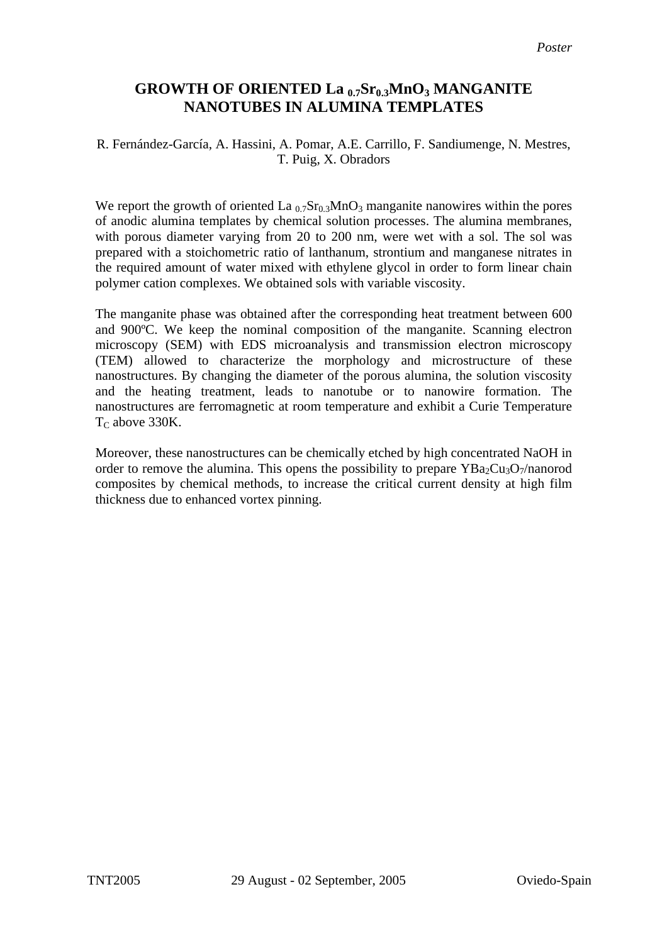## **GROWTH OF ORIENTED La 0.7Sr0.3MnO3 MANGANITE NANOTUBES IN ALUMINA TEMPLATES**

## R. Fernández-García, A. Hassini, A. Pomar, A.E. Carrillo, F. Sandiumenge, N. Mestres, T. Puig, X. Obradors

We report the growth of oriented La  $_{0.7}Sr_{0.3}MnO_3$  manganite nanowires within the pores of anodic alumina templates by chemical solution processes. The alumina membranes, with porous diameter varying from 20 to 200 nm, were wet with a sol. The sol was prepared with a stoichometric ratio of lanthanum, strontium and manganese nitrates in the required amount of water mixed with ethylene glycol in order to form linear chain polymer cation complexes. We obtained sols with variable viscosity.

The manganite phase was obtained after the corresponding heat treatment between 600 and 900ºC. We keep the nominal composition of the manganite. Scanning electron microscopy (SEM) with EDS microanalysis and transmission electron microscopy (TEM) allowed to characterize the morphology and microstructure of these nanostructures. By changing the diameter of the porous alumina, the solution viscosity and the heating treatment, leads to nanotube or to nanowire formation. The nanostructures are ferromagnetic at room temperature and exhibit a Curie Temperature  $T<sub>C</sub>$  above 330K.

Moreover, these nanostructures can be chemically etched by high concentrated NaOH in order to remove the alumina. This opens the possibility to prepare  $YBa<sub>2</sub>Cu<sub>3</sub>O<sub>7</sub>/nanorod$ composites by chemical methods, to increase the critical current density at high film thickness due to enhanced vortex pinning.